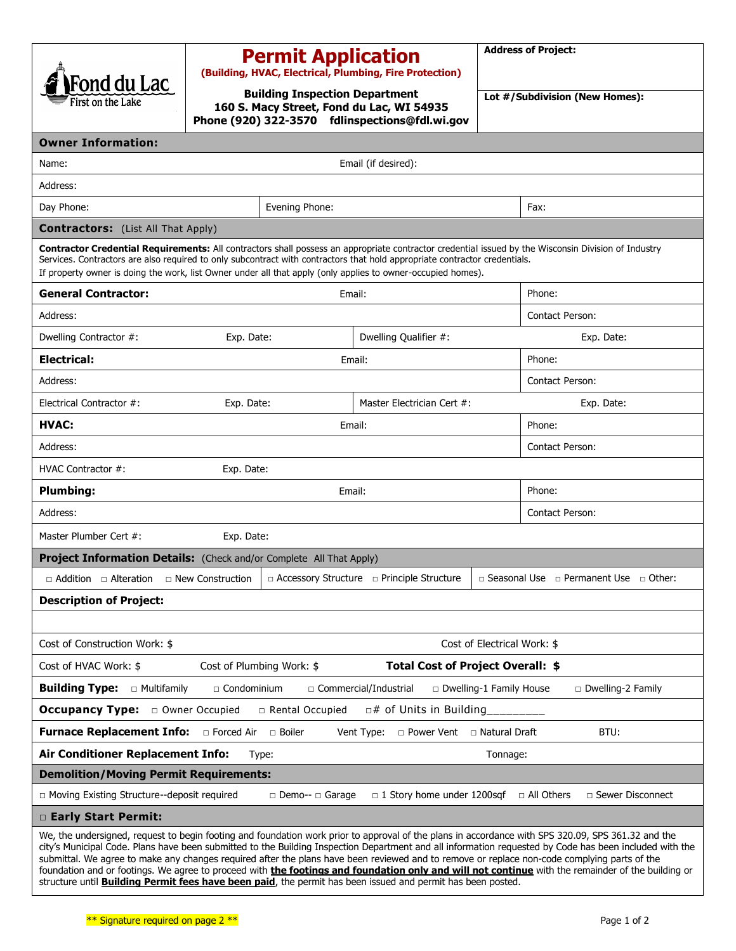| Fond du Lac<br>First on the Lake                                                                                                                                                                                                                                                                                                                                                                                                                                                                                                                                                                                   |            | <b>Permit Application</b><br><b>Building Inspection Department</b> | (Building, HVAC, Electrical, Plumbing, Fire Protection)<br>160 S. Macy Street, Fond du Lac, WI 54935 |            | <b>Address of Project:</b><br>Lot #/Subdivision (New Homes): |  |
|--------------------------------------------------------------------------------------------------------------------------------------------------------------------------------------------------------------------------------------------------------------------------------------------------------------------------------------------------------------------------------------------------------------------------------------------------------------------------------------------------------------------------------------------------------------------------------------------------------------------|------------|--------------------------------------------------------------------|------------------------------------------------------------------------------------------------------|------------|--------------------------------------------------------------|--|
| <b>Owner Information:</b>                                                                                                                                                                                                                                                                                                                                                                                                                                                                                                                                                                                          |            |                                                                    | Phone (920) 322-3570 fdlinspections@fdl.wi.gov                                                       |            |                                                              |  |
| Name:                                                                                                                                                                                                                                                                                                                                                                                                                                                                                                                                                                                                              |            |                                                                    | Email (if desired):                                                                                  |            |                                                              |  |
| Address:                                                                                                                                                                                                                                                                                                                                                                                                                                                                                                                                                                                                           |            |                                                                    |                                                                                                      |            |                                                              |  |
| Day Phone:                                                                                                                                                                                                                                                                                                                                                                                                                                                                                                                                                                                                         |            | Evening Phone:                                                     |                                                                                                      |            | Fax:                                                         |  |
|                                                                                                                                                                                                                                                                                                                                                                                                                                                                                                                                                                                                                    |            |                                                                    |                                                                                                      |            |                                                              |  |
| <b>Contractors:</b> (List All That Apply)<br>Contractor Credential Requirements: All contractors shall possess an appropriate contractor credential issued by the Wisconsin Division of Industry<br>Services. Contractors are also required to only subcontract with contractors that hold appropriate contractor credentials.<br>If property owner is doing the work, list Owner under all that apply (only applies to owner-occupied homes).                                                                                                                                                                     |            |                                                                    |                                                                                                      |            |                                                              |  |
| <b>General Contractor:</b>                                                                                                                                                                                                                                                                                                                                                                                                                                                                                                                                                                                         |            |                                                                    | Email:                                                                                               |            | Phone:                                                       |  |
| Address:                                                                                                                                                                                                                                                                                                                                                                                                                                                                                                                                                                                                           |            |                                                                    |                                                                                                      |            | Contact Person:                                              |  |
| Dwelling Contractor #:<br>Exp. Date:                                                                                                                                                                                                                                                                                                                                                                                                                                                                                                                                                                               |            | Dwelling Qualifier #:                                              |                                                                                                      | Exp. Date: |                                                              |  |
| <b>Electrical:</b>                                                                                                                                                                                                                                                                                                                                                                                                                                                                                                                                                                                                 |            |                                                                    | Email:                                                                                               |            | Phone:                                                       |  |
| Address:                                                                                                                                                                                                                                                                                                                                                                                                                                                                                                                                                                                                           |            |                                                                    |                                                                                                      |            | Contact Person:                                              |  |
| Electrical Contractor #:                                                                                                                                                                                                                                                                                                                                                                                                                                                                                                                                                                                           | Exp. Date: |                                                                    | Master Electrician Cert #:                                                                           |            | Exp. Date:                                                   |  |
| <b>HVAC:</b>                                                                                                                                                                                                                                                                                                                                                                                                                                                                                                                                                                                                       |            |                                                                    | Email:                                                                                               |            | Phone:                                                       |  |
| Address:                                                                                                                                                                                                                                                                                                                                                                                                                                                                                                                                                                                                           |            |                                                                    |                                                                                                      |            | Contact Person:                                              |  |
| HVAC Contractor #:                                                                                                                                                                                                                                                                                                                                                                                                                                                                                                                                                                                                 | Exp. Date: |                                                                    |                                                                                                      |            |                                                              |  |
| <b>Plumbing:</b><br>Email:                                                                                                                                                                                                                                                                                                                                                                                                                                                                                                                                                                                         |            |                                                                    |                                                                                                      |            | Phone:                                                       |  |
| Address:                                                                                                                                                                                                                                                                                                                                                                                                                                                                                                                                                                                                           |            |                                                                    |                                                                                                      |            | Contact Person:                                              |  |
| Master Plumber Cert #:                                                                                                                                                                                                                                                                                                                                                                                                                                                                                                                                                                                             | Exp. Date: |                                                                    |                                                                                                      |            |                                                              |  |
| Project Information Details: (Check and/or Complete All That Apply)                                                                                                                                                                                                                                                                                                                                                                                                                                                                                                                                                |            |                                                                    |                                                                                                      |            |                                                              |  |
| $\Box$ Addition $\Box$ Alteration $\Box$ New Construction                                                                                                                                                                                                                                                                                                                                                                                                                                                                                                                                                          |            |                                                                    | a Accessory Structure a Principle Structure                                                          |            | □ Seasonal Use □ Permanent Use □ Other:                      |  |
| <b>Description of Project:</b>                                                                                                                                                                                                                                                                                                                                                                                                                                                                                                                                                                                     |            |                                                                    |                                                                                                      |            |                                                              |  |
|                                                                                                                                                                                                                                                                                                                                                                                                                                                                                                                                                                                                                    |            |                                                                    |                                                                                                      |            |                                                              |  |
| Cost of Construction Work: \$<br>Cost of Electrical Work: \$                                                                                                                                                                                                                                                                                                                                                                                                                                                                                                                                                       |            |                                                                    |                                                                                                      |            |                                                              |  |
| Total Cost of Project Overall: \$<br>Cost of HVAC Work: \$<br>Cost of Plumbing Work: \$                                                                                                                                                                                                                                                                                                                                                                                                                                                                                                                            |            |                                                                    |                                                                                                      |            |                                                              |  |
| <b>Building Type:</b> $\Box$ Multifamily<br>□ Condominium<br>□ Commercial/Industrial<br>$\Box$ Dwelling-1 Family House<br>$\Box$ Dwelling-2 Family                                                                                                                                                                                                                                                                                                                                                                                                                                                                 |            |                                                                    |                                                                                                      |            |                                                              |  |
| $\Box$ # of Units in Building<br><b>Occupancy Type:</b> $\Box$ Owner Occupied<br>□ Rental Occupied                                                                                                                                                                                                                                                                                                                                                                                                                                                                                                                 |            |                                                                    |                                                                                                      |            |                                                              |  |
| Furnace Replacement Info: <b>Delacement Info:</b> Delaced Air  politer<br>Vent Type:<br>□ Power Vent □ Natural Draft<br>BTU:                                                                                                                                                                                                                                                                                                                                                                                                                                                                                       |            |                                                                    |                                                                                                      |            |                                                              |  |
| Air Conditioner Replacement Info:<br>Type:<br>Tonnage:                                                                                                                                                                                                                                                                                                                                                                                                                                                                                                                                                             |            |                                                                    |                                                                                                      |            |                                                              |  |
| <b>Demolition/Moving Permit Requirements:</b>                                                                                                                                                                                                                                                                                                                                                                                                                                                                                                                                                                      |            |                                                                    |                                                                                                      |            |                                                              |  |
| □ Sewer Disconnect<br>□ Moving Existing Structure--deposit required<br>$\Box$ 1 Story home under 1200sqf<br>□ All Others<br>□ Demo-- □ Garage                                                                                                                                                                                                                                                                                                                                                                                                                                                                      |            |                                                                    |                                                                                                      |            |                                                              |  |
| □ Early Start Permit:                                                                                                                                                                                                                                                                                                                                                                                                                                                                                                                                                                                              |            |                                                                    |                                                                                                      |            |                                                              |  |
| We, the undersigned, request to begin footing and foundation work prior to approval of the plans in accordance with SPS 320.09, SPS 361.32 and the<br>city's Municipal Code. Plans have been submitted to the Building Inspection Department and all information requested by Code has been included with the<br>submittal. We agree to make any changes required after the plans have been reviewed and to remove or replace non-code complying parts of the<br>foundation and or footings. We agree to proceed with the footings and foundation only and will not continue with the remainder of the building or |            |                                                                    |                                                                                                      |            |                                                              |  |

structure until **Building Permit fees have been paid**, the permit has been issued and permit has been posted.